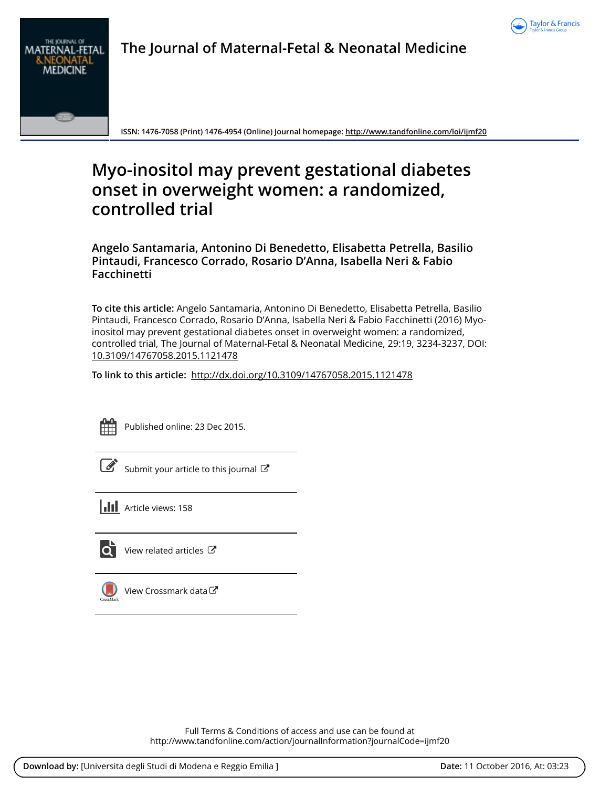

# **The Journal of Maternal-Fetal & Neonatal Medicine**



**ISSN: 1476-7058 (Print) 1476-4954 (Online) Journal homepage:<http://www.tandfonline.com/loi/ijmf20>**

# **Myo-inositol may prevent gestational diabetes onset in overweight women: a randomized, controlled trial**

**Angelo Santamaria, Antonino Di Benedetto, Elisabetta Petrella, Basilio Pintaudi, Francesco Corrado, Rosario D'Anna, Isabella Neri & Fabio Facchinetti**

**To cite this article:** Angelo Santamaria, Antonino Di Benedetto, Elisabetta Petrella, Basilio Pintaudi, Francesco Corrado, Rosario D'Anna, Isabella Neri & Fabio Facchinetti (2016) Myoinositol may prevent gestational diabetes onset in overweight women: a randomized, controlled trial, The Journal of Maternal-Fetal & Neonatal Medicine, 29:19, 3234-3237, DOI: [10.3109/14767058.2015.1121478](http://www.tandfonline.com/action/showCitFormats?doi=10.3109/14767058.2015.1121478)

**To link to this article:** <http://dx.doi.org/10.3109/14767058.2015.1121478>



Published online: 23 Dec 2015.

 $\overline{\mathscr{L}}$  [Submit your article to this journal](http://www.tandfonline.com/action/authorSubmission?journalCode=ijmf20&show=instructions)  $\mathbb{Z}$ 

**III** Article views: 158



[View related articles](http://www.tandfonline.com/doi/mlt/10.3109/14767058.2015.1121478) C



[View Crossmark data](http://crossmark.crossref.org/dialog/?doi=10.3109/14767058.2015.1121478&domain=pdf&date_stamp=2015-12-23)<sup>C</sup>

Full Terms & Conditions of access and use can be found at <http://www.tandfonline.com/action/journalInformation?journalCode=ijmf20>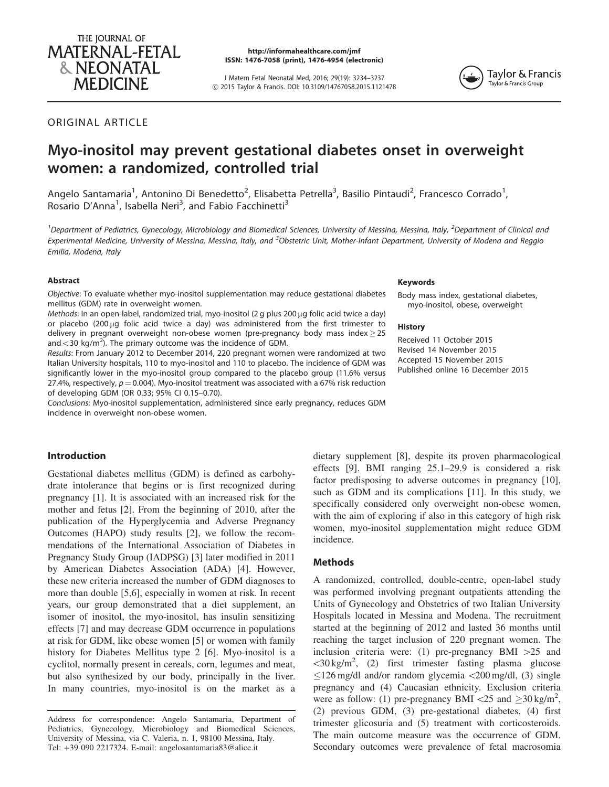

http://informahealthcare.com/jmf ISSN: 1476-7058 (print), 1476-4954 (electronic)

J Matern Fetal Neonatal Med, 2016; 29(19): 3234–3237 ! 2015 Taylor & Francis. DOI: 10.3109/14767058.2015.1121478



# ORIGINAL ARTICLE

# Myo-inositol may prevent gestational diabetes onset in overweight women: a randomized, controlled trial

Angelo Santamaria<sup>1</sup>, Antonino Di Benedetto<sup>2</sup>, Elisabetta Petrella<sup>3</sup>, Basilio Pintaudi<sup>2</sup>, Francesco Corrado<sup>1</sup>, Rosario D'Anna<sup>1</sup>, Isabella Neri<sup>3</sup>, and Fabio Facchinetti<sup>3</sup>

<sup>1</sup> Department of Pediatrics, Gynecology, Microbiology and Biomedical Sciences, University of Messina, Messina, Italy, <sup>2</sup> Department of Clinical and Experimental Medicine, University of Messina, Messina, Italy, and <sup>3</sup>Obstetric Unit, Mother-Infant Department, University of Modena and Reggio Emilia, Modena, Italy

# Abstract

Objective: To evaluate whether myo-inositol supplementation may reduce gestational diabetes mellitus (GDM) rate in overweight women.

Methods: In an open-label, randomized trial, myo-inositol (2 g plus 200 µg folic acid twice a day) or placebo (200 µg folic acid twice a day) was administered from the first trimester to delivery in pregnant overweight non-obese women (pre-pregnancy body mass index $\geq$ 25 and  $<$  30 kg/m<sup>2</sup>). The primary outcome was the incidence of GDM.

Results: From January 2012 to December 2014, 220 pregnant women were randomized at two Italian University hospitals, 110 to myo-inositol and 110 to placebo. The incidence of GDM was significantly lower in the myo-inositol group compared to the placebo group (11.6% versus 27.4%, respectively,  $p = 0.004$ ). Myo-inositol treatment was associated with a 67% risk reduction of developing GDM (OR 0.33; 95% CI 0.15–0.70).

Conclusions: Myo-inositol supplementation, administered since early pregnancy, reduces GDM incidence in overweight non-obese women.

### Introduction

Gestational diabetes mellitus (GDM) is defined as carbohydrate intolerance that begins or is first recognized during pregnancy [\[1](#page-3-0)]. It is associated with an increased risk for the mother and fetus [\[2](#page-3-0)]. From the beginning of 2010, after the publication of the Hyperglycemia and Adverse Pregnancy Outcomes (HAPO) study results [\[2](#page-3-0)], we follow the recommendations of the International Association of Diabetes in Pregnancy Study Group (IADPSG) [\[3\]](#page-3-0) later modified in 2011 by American Diabetes Association (ADA) [[4\]](#page-3-0). However, these new criteria increased the number of GDM diagnoses to more than double [\[5,6\]](#page-3-0), especially in women at risk. In recent years, our group demonstrated that a diet supplement, an isomer of inositol, the myo-inositol, has insulin sensitizing effects [\[7](#page-3-0)] and may decrease GDM occurrence in populations at risk for GDM, like obese women [\[5](#page-3-0)] or women with family history for Diabetes Mellitus type 2 [\[6](#page-3-0)]. Myo-inositol is a cyclitol, normally present in cereals, corn, legumes and meat, but also synthesized by our body, principally in the liver. In many countries, myo-inositol is on the market as a

#### Keywords

Body mass index, gestational diabetes, myo-inositol, obese, overweight

#### **History**

Received 11 October 2015 Revised 14 November 2015 Accepted 15 November 2015 Published online 16 December 2015

dietary supplement [\[8](#page-3-0)], despite its proven pharmacological effects [[9\]](#page-4-0). BMI ranging 25.1–29.9 is considered a risk factor predisposing to adverse outcomes in pregnancy [\[10](#page-4-0)], such as GDM and its complications [[11\]](#page-4-0). In this study, we specifically considered only overweight non-obese women, with the aim of exploring if also in this category of high risk women, myo-inositol supplementation might reduce GDM incidence.

#### **Methods**

A randomized, controlled, double-centre, open-label study was performed involving pregnant outpatients attending the Units of Gynecology and Obstetrics of two Italian University Hospitals located in Messina and Modena. The recruitment started at the beginning of 2012 and lasted 36 months until reaching the target inclusion of 220 pregnant women. The inclusion criteria were: (1) pre-pregnancy BMI  $>25$  and 530 kg/m2 , (2) first trimester fasting plasma glucose  $\leq$ 126 mg/dl and/or random glycemia  $\lt$ 200 mg/dl, (3) single pregnancy and (4) Caucasian ethnicity. Exclusion criteria were as follow: (1) pre-pregnancy BMI <25 and  $\geq$ 30 kg/m<sup>2</sup>, (2) previous GDM, (3) pre-gestational diabetes, (4) first trimester glicosuria and (5) treatment with corticosteroids. The main outcome measure was the occurrence of GDM. Secondary outcomes were prevalence of fetal macrosomia

Address for correspondence: Angelo Santamaria, Department of Pediatrics, Gynecology, Microbiology and Biomedical Sciences, University of Messina, via C. Valeria, n. 1, 98100 Messina, Italy. Tel: +39 090 2217324. E-mail: angelosantamaria83@alice.it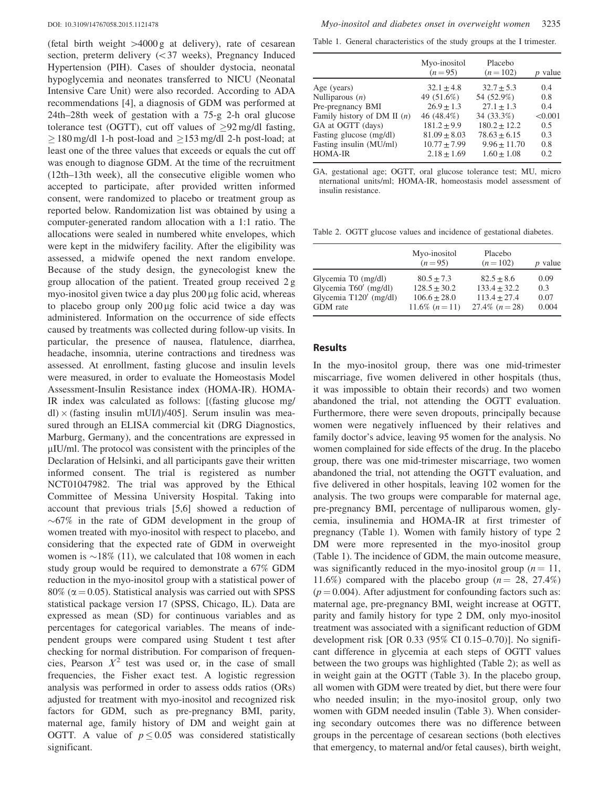(fetal birth weight  $>4000 g$  at delivery), rate of cesarean section, preterm delivery  $( $37$  weeks), Pregnancy Induced$ Hypertension (PIH). Cases of shoulder dystocia, neonatal hypoglycemia and neonates transferred to NICU (Neonatal Intensive Care Unit) were also recorded. According to ADA recommendations [\[4](#page-3-0)], a diagnosis of GDM was performed at 24th–28th week of gestation with a 75-g 2-h oral glucose tolerance test (OGTT), cut off values of  $\geq 92$  mg/dl fasting,  $\geq$  180 mg/dl 1-h post-load and  $\geq$  153 mg/dl 2-h post-load; at least one of the three values that exceeds or equals the cut off was enough to diagnose GDM. At the time of the recruitment (12th–13th week), all the consecutive eligible women who accepted to participate, after provided written informed consent, were randomized to placebo or treatment group as reported below. Randomization list was obtained by using a computer-generated random allocation with a 1:1 ratio. The allocations were sealed in numbered white envelopes, which were kept in the midwifery facility. After the eligibility was assessed, a midwife opened the next random envelope. Because of the study design, the gynecologist knew the group allocation of the patient. Treated group received 2 g myo-inositol given twice a day plus  $200 \mu$ g folic acid, whereas to placebo group only  $200 \mu$ g folic acid twice a day was administered. Information on the occurrence of side effects caused by treatments was collected during follow-up visits. In particular, the presence of nausea, flatulence, diarrhea, headache, insomnia, uterine contractions and tiredness was assessed. At enrollment, fasting glucose and insulin levels were measured, in order to evaluate the Homeostasis Model Assessment-Insulin Resistance index (HOMA-IR). HOMA-IR index was calculated as follows: [(fasting glucose mg/ dl)  $\times$  (fasting insulin mUI/l)/405]. Serum insulin was measured through an ELISA commercial kit (DRG Diagnostics, Marburg, Germany), and the concentrations are expressed in  $\mu$ IU/ml. The protocol was consistent with the principles of the Declaration of Helsinki, and all participants gave their written informed consent. The trial is registered as number NCT01047982. The trial was approved by the Ethical Committee of Messina University Hospital. Taking into account that previous trials [[5,6](#page-3-0)] showed a reduction of  $\sim 67\%$  in the rate of GDM development in the group of women treated with myo-inositol with respect to placebo, and considering that the expected rate of GDM in overweight women is  $\sim$ 18% (11), we calculated that 108 women in each study group would be required to demonstrate a 67% GDM reduction in the myo-inositol group with a statistical power of  $80\%$  ( $\alpha$  = 0.05). Statistical analysis was carried out with SPSS statistical package version 17 (SPSS, Chicago, IL). Data are expressed as mean (SD) for continuous variables and as percentages for categorical variables. The means of independent groups were compared using Student t test after checking for normal distribution. For comparison of frequencies, Pearson  $X^2$  test was used or, in the case of small frequencies, the Fisher exact test. A logistic regression analysis was performed in order to assess odds ratios (ORs) adjusted for treatment with myo-inositol and recognized risk factors for GDM, such as pre-pregnancy BMI, parity, maternal age, family history of DM and weight gain at OGTT. A value of  $p \le 0.05$  was considered statistically significant.

Table 1. General characteristics of the study groups at the I trimester.

|                               | Myo-inositol<br>$(n=95)$ | Placebo<br>$(n=102)$ | <i>p</i> value |
|-------------------------------|--------------------------|----------------------|----------------|
| Age (years)                   | $32.1 + 4.8$             | $32.7 + 5.3$         | 0.4            |
| Nulliparous $(n)$             | 49 (51.6%)               | 54 (52.9%)           | 0.8            |
| Pre-pregnancy BMI             | $26.9 + 1.3$             | $27.1 + 1.3$         | 0.4            |
| Family history of DM II $(n)$ | 46 (48.4%)               | 34 (33.3%)           | < 0.001        |
| GA at OGTT (days)             | $181.2 + 9.9$            | $180.2 + 12.2$       | 0.5            |
| Fasting glucose (mg/dl)       | $81.09 + 8.03$           | $78.63 + 6.15$       | 0.3            |
| Fasting insulin (MU/ml)       | $10.77 + 7.99$           | $9.96 + 11.70$       | 0.8            |
| <b>HOMA-IR</b>                | $2.18 + 1.69$            | $1.60 + 1.08$        | 0.2            |

GA, gestational age; OGTT, oral glucose tolerance test; MU, micro nternational units/ml; HOMA-IR, homeostasis model assessment of insulin resistance.

Table 2. OGTT glucose values and incidence of gestational diabetes.

|                          | Myo-inositol<br>$(n=95)$ | Placebo<br>$(n=102)$ | <i>p</i> value |
|--------------------------|--------------------------|----------------------|----------------|
| Glycemia T0 (mg/dl)      | $80.5 + 7.3$             | $82.5 + 8.6$         | 0.09           |
| Glycemia T60' (mg/dl)    | $128.5 + 30.2$           | $133.4 + 32.2$       | 0.3            |
| Glycemia $T120'$ (mg/dl) | $106.6 + 28.0$           | $113.4 + 27.4$       | 0.07           |
| GDM rate                 | 11.6\% $(n=11)$          | 27.4\% $(n=28)$      | 0.004          |

# Results

In the myo-inositol group, there was one mid-trimester miscarriage, five women delivered in other hospitals (thus, it was impossible to obtain their records) and two women abandoned the trial, not attending the OGTT evaluation. Furthermore, there were seven dropouts, principally because women were negatively influenced by their relatives and family doctor's advice, leaving 95 women for the analysis. No women complained for side effects of the drug. In the placebo group, there was one mid-trimester miscarriage, two women abandoned the trial, not attending the OGTT evaluation, and five delivered in other hospitals, leaving 102 women for the analysis. The two groups were comparable for maternal age, pre-pregnancy BMI, percentage of nulliparous women, glycemia, insulinemia and HOMA-IR at first trimester of pregnancy (Table 1). Women with family history of type 2 DM were more represented in the myo-inositol group (Table 1). The incidence of GDM, the main outcome measure, was significantly reduced in the myo-inositol group ( $n = 11$ , 11.6%) compared with the placebo group ( $n = 28, 27.4\%$ )  $(p = 0.004)$ . After adjustment for confounding factors such as: maternal age, pre-pregnancy BMI, weight increase at OGTT, parity and family history for type 2 DM, only myo-inositol treatment was associated with a significant reduction of GDM development risk [OR 0.33 (95% CI 0.15–0.70)]. No significant difference in glycemia at each steps of OGTT values between the two groups was highlighted (Table 2); as well as in weight gain at the OGTT ([Table 3](#page-3-0)). In the placebo group, all women with GDM were treated by diet, but there were four who needed insulin; in the myo-inositol group, only two women with GDM needed insulin [\(Table 3\)](#page-3-0). When considering secondary outcomes there was no difference between groups in the percentage of cesarean sections (both electives that emergency, to maternal and/or fetal causes), birth weight,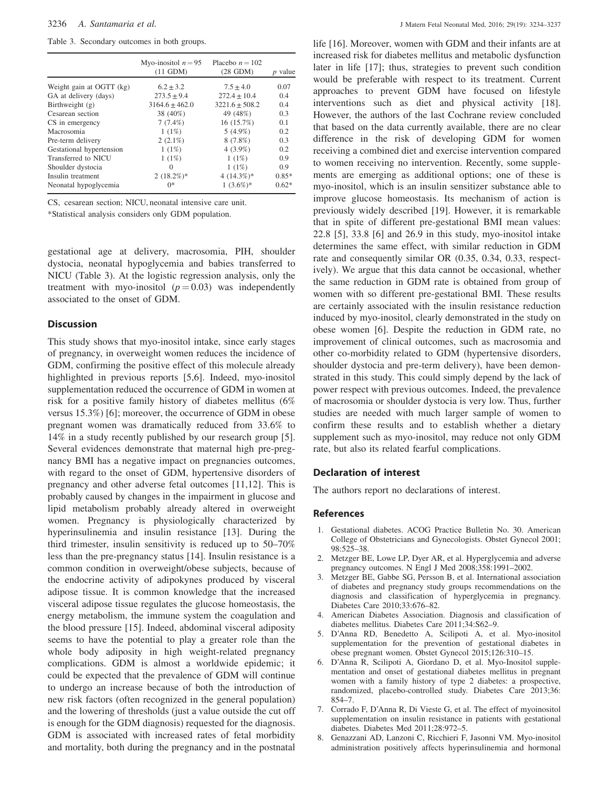<span id="page-3-0"></span>Table 3. Secondary outcomes in both groups.

|                          | Myo-inositol $n = 95$<br>$(11$ GDM $)$ | Placebo $n = 102$<br>$(28 \text{ GDM})$ | $p$ value |
|--------------------------|----------------------------------------|-----------------------------------------|-----------|
| Weight gain at OGTT (kg) | $6.2 + 3.2$                            | $7.5 + 4.0$                             | 0.07      |
| GA at delivery (days)    | $273.5 + 9.4$                          | $272.4 + 10.4$                          | 0.4       |
| Birthweight (g)          | $3164.6 \pm 462.0$                     | $3221.6 \pm 508.2$                      | 0.4       |
| Cesarean section         | 38 (40%)                               | 49 (48%)                                | 0.3       |
| CS in emergency          | $7(7.4\%)$                             | 16 (15.7%)                              | 0.1       |
| Macrosomia               | 1(1%)                                  | $5(4.9\%)$                              | 0.2       |
| Pre-term delivery        | $2(2.1\%)$                             | 8(7.8%)                                 | 0.3       |
| Gestational hypertension | 1(1%)                                  | $4(3.9\%)$                              | 0.2       |
| Transferred to NICU      | 1(1%)                                  | 1(1%)                                   | 0.9       |
| Shoulder dystocia        | $\Omega$                               | 1(1%)                                   | 0.9       |
| Insulin treatment        | $2(18.2\%)*$                           | 4 $(14.3\%)*$                           | $0.85*$   |
| Neonatal hypoglycemia    | $0*$                                   | $1(3.6\%)*$                             | $0.62*$   |
|                          |                                        |                                         |           |

CS, cesarean section; NICU, neonatal intensive care unit.

\*Statistical analysis considers only GDM population.

gestational age at delivery, macrosomia, PIH, shoulder dystocia, neonatal hypoglycemia and babies transferred to NICU (Table 3). At the logistic regression analysis, only the treatment with myo-inositol  $(p = 0.03)$  was independently associated to the onset of GDM.

### **Discussion**

This study shows that myo-inositol intake, since early stages of pregnancy, in overweight women reduces the incidence of GDM, confirming the positive effect of this molecule already highlighted in previous reports [5,6]. Indeed, myo-inositol supplementation reduced the occurrence of GDM in women at risk for a positive family history of diabetes mellitus (6% versus 15.3%) [6]; moreover, the occurrence of GDM in obese pregnant women was dramatically reduced from 33.6% to 14% in a study recently published by our research group [5]. Several evidences demonstrate that maternal high pre-pregnancy BMI has a negative impact on pregnancies outcomes, with regard to the onset of GDM, hypertensive disorders of pregnancy and other adverse fetal outcomes [[11,12](#page-4-0)]. This is probably caused by changes in the impairment in glucose and lipid metabolism probably already altered in overweight women. Pregnancy is physiologically characterized by hyperinsulinemia and insulin resistance [[13\]](#page-4-0). During the third trimester, insulin sensitivity is reduced up to 50–70% less than the pre-pregnancy status [\[14](#page-4-0)]. Insulin resistance is a common condition in overweight/obese subjects, because of the endocrine activity of adipokynes produced by visceral adipose tissue. It is common knowledge that the increased visceral adipose tissue regulates the glucose homeostasis, the energy metabolism, the immune system the coagulation and the blood pressure [\[15](#page-4-0)]. Indeed, abdominal visceral adiposity seems to have the potential to play a greater role than the whole body adiposity in high weight-related pregnancy complications. GDM is almost a worldwide epidemic; it could be expected that the prevalence of GDM will continue to undergo an increase because of both the introduction of new risk factors (often recognized in the general population) and the lowering of thresholds (just a value outside the cut off is enough for the GDM diagnosis) requested for the diagnosis. GDM is associated with increased rates of fetal morbidity and mortality, both during the pregnancy and in the postnatal life [[16\]](#page-4-0). Moreover, women with GDM and their infants are at increased risk for diabetes mellitus and metabolic dysfunction later in life [\[17](#page-4-0)]; thus, strategies to prevent such condition would be preferable with respect to its treatment. Current approaches to prevent GDM have focused on lifestyle interventions such as diet and physical activity [\[18](#page-4-0)]. However, the authors of the last Cochrane review concluded that based on the data currently available, there are no clear difference in the risk of developing GDM for women receiving a combined diet and exercise intervention compared to women receiving no intervention. Recently, some supplements are emerging as additional options; one of these is myo-inositol, which is an insulin sensitizer substance able to improve glucose homeostasis. Its mechanism of action is previously widely described [[19\]](#page-4-0). However, it is remarkable that in spite of different pre-gestational BMI mean values: 22.8 [5], 33.8 [6] and 26.9 in this study, myo-inositol intake determines the same effect, with similar reduction in GDM rate and consequently similar OR (0.35, 0.34, 0.33, respectively). We argue that this data cannot be occasional, whether the same reduction in GDM rate is obtained from group of women with so different pre-gestational BMI. These results are certainly associated with the insulin resistance reduction induced by myo-inositol, clearly demonstrated in the study on obese women [6]. Despite the reduction in GDM rate, no improvement of clinical outcomes, such as macrosomia and other co-morbidity related to GDM (hypertensive disorders, shoulder dystocia and pre-term delivery), have been demonstrated in this study. This could simply depend by the lack of power respect with previous outcomes. Indeed, the prevalence of macrosomia or shoulder dystocia is very low. Thus, further studies are needed with much larger sample of women to confirm these results and to establish whether a dietary supplement such as myo-inositol, may reduce not only GDM rate, but also its related fearful complications.

# Declaration of interest

The authors report no declarations of interest.

#### References

- 1. Gestational diabetes. ACOG Practice Bulletin No. 30. American College of Obstetricians and Gynecologists. Obstet Gynecol 2001; 98:525–38.
- 2. Metzger BE, Lowe LP, Dyer AR, et al. Hyperglycemia and adverse pregnancy outcomes. N Engl J Med 2008;358:1991–2002.
- 3. Metzger BE, Gabbe SG, Persson B, et al. International association of diabetes and pregnancy study groups recommendations on the diagnosis and classification of hyperglycemia in pregnancy. Diabetes Care 2010;33:676–82.
- 4. American Diabetes Association. Diagnosis and classification of diabetes mellitus. Diabetes Care 2011;34:S62–9.
- 5. D'Anna RD, Benedetto A, Scilipoti A, et al. Myo-inositol supplementation for the prevention of gestational diabetes in obese pregnant women. Obstet Gynecol 2015;126:310–15.
- 6. D'Anna R, Scilipoti A, Giordano D, et al. Myo-Inositol supplementation and onset of gestational diabetes mellitus in pregnant women with a family history of type 2 diabetes: a prospective, randomized, placebo-controlled study. Diabetes Care 2013;36: 854–7.
- 7. Corrado F, D'Anna R, Di Vieste G, et al. The effect of myoinositol supplementation on insulin resistance in patients with gestational diabetes. Diabetes Med 2011;28:972–5.
- 8. Genazzani AD, Lanzoni C, Ricchieri F, Jasonni VM. Myo-inositol administration positively affects hyperinsulinemia and hormonal